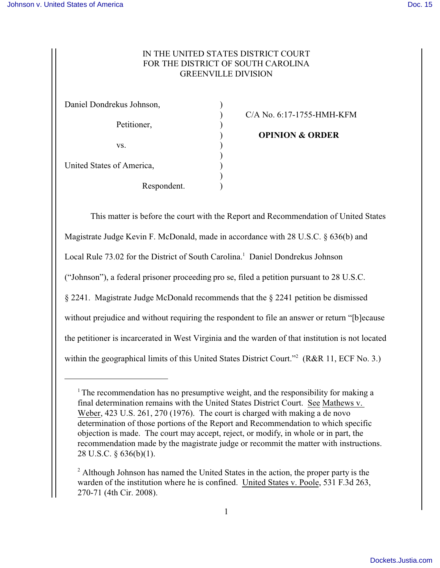## IN THE UNITED STATES DISTRICT COURT FOR THE DISTRICT OF SOUTH CAROLINA GREENVILLE DIVISION

| Daniel Dondrekus Johnson, |  |
|---------------------------|--|
| Petitioner,               |  |
|                           |  |
|                           |  |
| VS.                       |  |
|                           |  |
| United States of America, |  |
|                           |  |
| Respondent.               |  |

) C/A No. 6:17-1755-HMH-KFM

) **OPINION & ORDER**

This matter is before the court with the Report and Recommendation of United States Magistrate Judge Kevin F. McDonald, made in accordance with 28 U.S.C. § 636(b) and Local Rule 73.02 for the District of South Carolina.<sup>1</sup> Daniel Dondrekus Johnson ("Johnson"), a federal prisoner proceeding pro se, filed a petition pursuant to 28 U.S.C. § 2241. Magistrate Judge McDonald recommends that the § 2241 petition be dismissed without prejudice and without requiring the respondent to file an answer or return "[b]ecause the petitioner is incarcerated in West Virginia and the warden of that institution is not located within the geographical limits of this United States District Court."<sup>2</sup> (R&R 11, ECF No. 3.)

<sup>&</sup>lt;sup>1</sup> The recommendation has no presumptive weight, and the responsibility for making a final determination remains with the United States District Court. See Mathews v. Weber, 423 U.S. 261, 270 (1976). The court is charged with making a de novo determination of those portions of the Report and Recommendation to which specific objection is made. The court may accept, reject, or modify, in whole or in part, the recommendation made by the magistrate judge or recommit the matter with instructions. 28 U.S.C. § 636(b)(1).

<sup>&</sup>lt;sup>2</sup> Although Johnson has named the United States in the action, the proper party is the warden of the institution where he is confined. United States v. Poole, 531 F.3d 263, 270-71 (4th Cir. 2008).